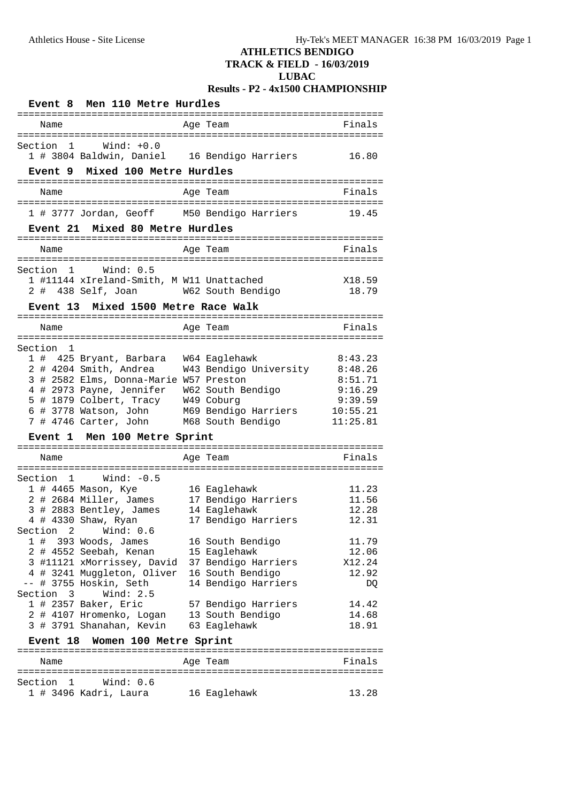# **ATHLETICS BENDIGO**

**TRACK & FIELD - 16/03/2019**

#### **LUBAC**

# **Results - P2 - 4x1500 CHAMPIONSHIP**

| Event 8 Men 110 Metre Hurdles                                                                                                                     |                                                                                                                                                                                                                                         |  |                                                                                                                                                                                                                                                    |                                                                                                        |  |
|---------------------------------------------------------------------------------------------------------------------------------------------------|-----------------------------------------------------------------------------------------------------------------------------------------------------------------------------------------------------------------------------------------|--|----------------------------------------------------------------------------------------------------------------------------------------------------------------------------------------------------------------------------------------------------|--------------------------------------------------------------------------------------------------------|--|
| Name                                                                                                                                              |                                                                                                                                                                                                                                         |  | Age Team                                                                                                                                                                                                                                           | Finals                                                                                                 |  |
| Section 1                                                                                                                                         | Wind: +0.0<br>Event 9 Mixed 100 Metre Hurdles                                                                                                                                                                                           |  | 1 # 3804 Baldwin, Daniel 16 Bendigo Harriers                                                                                                                                                                                                       | 16.80                                                                                                  |  |
| Name                                                                                                                                              |                                                                                                                                                                                                                                         |  | Age Team                                                                                                                                                                                                                                           | Finals                                                                                                 |  |
|                                                                                                                                                   |                                                                                                                                                                                                                                         |  | 1 # 3777 Jordan, Geoff M50 Bendigo Harriers                                                                                                                                                                                                        | 19.45                                                                                                  |  |
|                                                                                                                                                   | Event 21 Mixed 80 Metre Hurdles                                                                                                                                                                                                         |  |                                                                                                                                                                                                                                                    |                                                                                                        |  |
| Name                                                                                                                                              |                                                                                                                                                                                                                                         |  | Age Team                                                                                                                                                                                                                                           | Finals                                                                                                 |  |
| Section 1<br><b>Event 13</b>                                                                                                                      | Wind: 0.5<br>1 #11144 xIreland-Smith, M W11 Unattached<br>2 # 438 Self, Joan W62 South Bendigo<br>Mixed 1500 Metre Race Walk                                                                                                            |  |                                                                                                                                                                                                                                                    | X18.59<br>18.79                                                                                        |  |
|                                                                                                                                                   |                                                                                                                                                                                                                                         |  |                                                                                                                                                                                                                                                    |                                                                                                        |  |
| Name                                                                                                                                              |                                                                                                                                                                                                                                         |  | Age Team                                                                                                                                                                                                                                           | Finals                                                                                                 |  |
| Section 1                                                                                                                                         | 1 # 425 Bryant, Barbara W64 Eaglehawk<br>2 # 4204 Smith, Andrea<br>3 # 2582 Elms, Donna-Marie W57 Preston<br>4 # 2973 Payne, Jennifer W62 South Bendigo<br>7 # 4746 Carter, John M68 South Bendigo                                      |  | W43 Bendigo University<br>5 # 1879 Colbert, Tracy     W49 Coburg<br>6 # 3778 Watson, John     M69 Bendigo Harriers                                                                                                                                 | 8:43.23<br>8:48.26<br>8:51.71<br>9:16.29<br>9:39.59<br>10:55.21<br>11:25.81                            |  |
|                                                                                                                                                   | Event 1 Men 100 Metre Sprint                                                                                                                                                                                                            |  |                                                                                                                                                                                                                                                    |                                                                                                        |  |
| Name                                                                                                                                              |                                                                                                                                                                                                                                         |  | Age Team                                                                                                                                                                                                                                           | Finals                                                                                                 |  |
| Section 1 Wind: -0.5<br>1 # 4465 Mason, Kye<br>Section 2<br>$1$ # 393 Woods, James<br>-- # 3755 Hoskin, Seth<br>Section 3<br>1 # 2357 Baker, Eric | 2 # 2684 Miller, James<br>3 # 2883 Bentley, James<br>4 # 4330 Shaw, Ryan<br>Wind: $0.6$<br>2 # 4552 Seebah, Kenan<br>4 # 3241 Muggleton, Oliver 16 South Bendigo<br>Wind: $2.5$<br>2 # 4107 Hromenko, Logan<br>3 # 3791 Shanahan, Kevin |  | 16 Eaglehawk<br>17 Bendigo Harriers<br>14 Eaglehawk<br>17 Bendigo Harriers<br>16 South Bendigo<br>15 Eaglehawk<br>3 #11121 xMorrissey, David 37 Bendigo Harriers<br>14 Bendigo Harriers<br>57 Bendigo Harriers<br>13 South Bendigo<br>63 Eaglehawk | 11.23<br>11.56<br>12.28<br>12.31<br>11.79<br>12.06<br>X12.24<br>12.92<br>DQ<br>14.42<br>14.68<br>18.91 |  |
| Event 18 Women 100 Metre Sprint                                                                                                                   |                                                                                                                                                                                                                                         |  |                                                                                                                                                                                                                                                    |                                                                                                        |  |
| Name                                                                                                                                              |                                                                                                                                                                                                                                         |  | Age Team                                                                                                                                                                                                                                           | Finals                                                                                                 |  |
| Section 1                                                                                                                                         | Wind: 0.6<br>1 # 3496 Kadri, Laura                                                                                                                                                                                                      |  | 16 Eaglehawk                                                                                                                                                                                                                                       | 13.28                                                                                                  |  |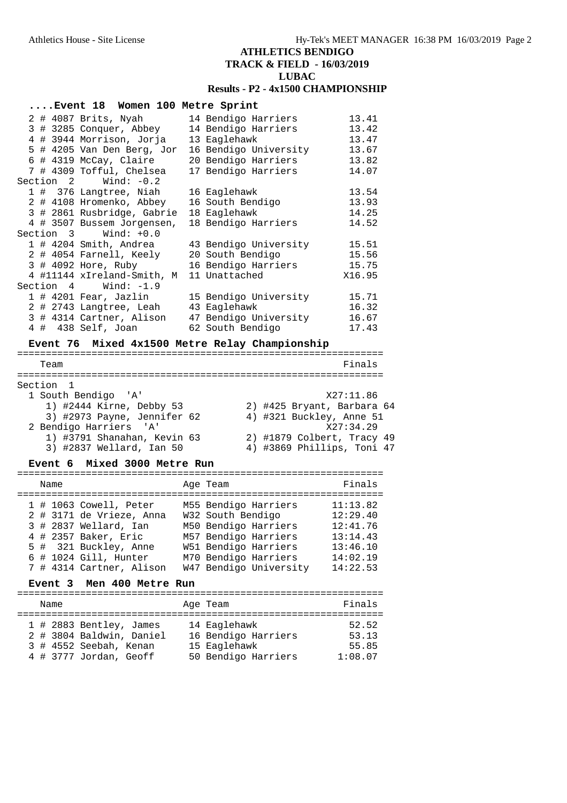# **ATHLETICS BENDIGO TRACK & FIELD - 16/03/2019 LUBAC Results - P2 - 4x1500 CHAMPIONSHIP**

| Event 18 Women 100 Metre Sprint |                                                    |        |
|---------------------------------|----------------------------------------------------|--------|
| 2 # 4087 Brits, Nyah            | 14 Bendigo Harriers                                | 13.41  |
| 3 # 3285 Conquer, Abbey         | 14 Bendigo Harriers                                | 13.42  |
| 4 # 3944 Morrison, Jorja        | 13 Eaglehawk                                       | 13.47  |
| 5 # 4205 Van Den Berg, Jor      | 16 Bendigo University                              | 13.67  |
| 6 # 4319 McCay, Claire          | 20 Bendigo Harriers                                | 13.82  |
| 7 # 4309 Tofful, Chelsea        | 17 Bendigo Harriers                                | 14.07  |
| Section $2$ Wind: $-0.2$        |                                                    |        |
| 1 # 376 Langtree, Niah          | 16 Eaglehawk                                       | 13.54  |
| 2 # 4108 Hromenko, Abbey        | 16 South Bendigo                                   | 13.93  |
| 3 # 2861 Rusbridge, Gabrie      | 18 Eaglehawk                                       | 14.25  |
| 4 # 3507 Bussem Jorgensen,      | 18 Bendigo Harriers                                | 14.52  |
| $Section 3$ Wind: $+0.0$        |                                                    |        |
| 1 # 4204 Smith, Andrea          | 43 Bendigo University                              | 15.51  |
| 2 # 4054 Farnell, Keely         | 20 South Bendigo                                   | 15.56  |
| 3 # 4092 Hore, Ruby             | 16 Bendigo Harriers                                | 15.75  |
| 4 #11144 xIreland-Smith, M      | 11 Unattached                                      | X16.95 |
| Section $4$ Wind: $-1.9$        |                                                    |        |
| 1 # 4201 Fear, Jazlin           | 15 Bendigo University                              | 15.71  |
| 2 # 2743 Langtree, Leah         | 43 Eaglehawk                                       | 16.32  |
|                                 | 3 # 4314 Cartner, Alison     47 Bendigo University | 16.67  |
| 4 # 438 Self, Joan              | 62 South Bendigo                                   | 17.43  |

# **Event 76 Mixed 4x1500 Metre Relay Championship**

| Team                        | Finals                     |
|-----------------------------|----------------------------|
| Section 1                   |                            |
| 1 South Bendigo 'A'         | X27:11.86                  |
| 1) #2444 Kirne, Debby 53    | 2) #425 Bryant, Barbara 64 |
| 3) #2973 Payne, Jennifer 62 | 4) #321 Buckley, Anne 51   |
| 2 Bendigo Harriers 'A'      | X27:34.29                  |
| 1) #3791 Shanahan, Kevin 63 | 2) #1879 Colbert, Tracy 49 |
| 3) #2837 Wellard, Ian 50    | 4) #3869 Phillips, Toni 47 |

#### **Event 6 Mixed 3000 Metre Run**

| Finals<br>Age Team<br>Name<br>11:13.82<br>M55 Bendigo Harriers<br>$1$ # 1063 Cowell, Peter<br>W32 South Bendigo<br>2 # 3171 de Vrieze, Anna<br>12:29.40<br>M50 Bendigo Harriers<br>12:41.76<br>3 # 2837 Wellard, Ian<br>M57 Bendigo Harriers<br>4 # 2357 Baker, Eric<br>13:14.43<br>W51 Bendigo Harriers<br>5 # 321 Buckley, Anne<br>13:46.10<br>$6$ # 1024 Gill, Hunter<br>M70 Bendigo Harriers<br>14:02.19<br>W47 Bendigo University<br>14:22.53<br>7 # 4314 Cartner, Alison |  |  |  |
|--------------------------------------------------------------------------------------------------------------------------------------------------------------------------------------------------------------------------------------------------------------------------------------------------------------------------------------------------------------------------------------------------------------------------------------------------------------------------------|--|--|--|
|                                                                                                                                                                                                                                                                                                                                                                                                                                                                                |  |  |  |
|                                                                                                                                                                                                                                                                                                                                                                                                                                                                                |  |  |  |

## **Event 3 Men 400 Metre Run**

| Name |  | Age Team                                                                                                | Finals                                                                     |                                    |
|------|--|---------------------------------------------------------------------------------------------------------|----------------------------------------------------------------------------|------------------------------------|
|      |  | 1 # 2883 Bentley, James<br>2 # 3804 Baldwin, Daniel<br>3 # 4552 Seebah, Kenan<br>4 # 3777 Jordan, Geoff | 14 Eaglehawk<br>16 Bendigo Harriers<br>15 Eaglehawk<br>50 Bendigo Harriers | 52.52<br>53.13<br>55.85<br>1:08.07 |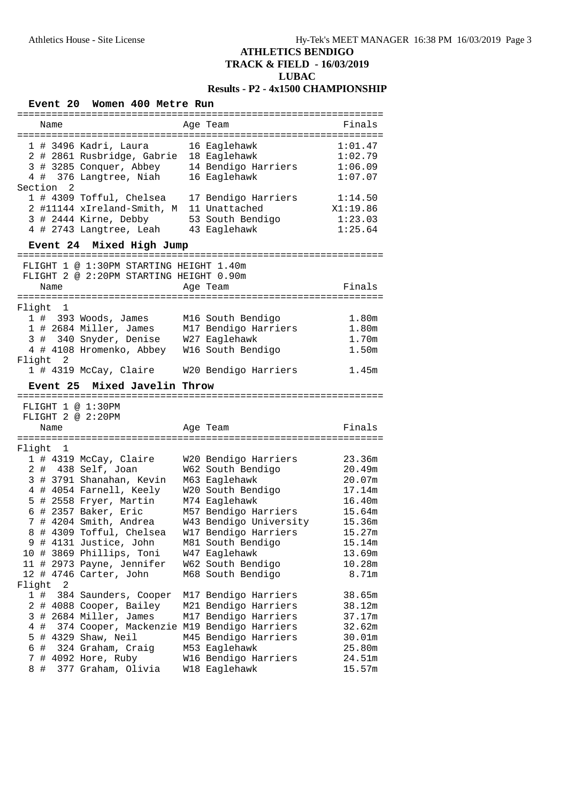### **ATHLETICS BENDIGO TRACK & FIELD - 16/03/2019 LUBAC Results - P2 - 4x1500 CHAMPIONSHIP**

#### **Event 20 Women 400 Metre Run** ================================================================ Name **Age Team Age Team** Finals ================================================================ 1 # 3496 Kadri, Laura 16 Eaglehawk 1:01.47 2 # 2861 Rusbridge, Gabrie 18 Eaglehawk 1:02.79 3 # 3285 Conquer, Abbey 14 Bendigo Harriers 1:06.09 4 # 376 Langtree, Niah 16 Eaglehawk 1:07.07 Section 2 1 # 4309 Tofful, Chelsea 17 Bendigo Harriers 1:14.50 2 #11144 xIreland-Smith, M 11 Unattached X1:19.86 3 # 2444 Kirne, Debby 53 South Bendigo 1:23.03 4 # 2743 Langtree, Leah 43 Eaglehawk 1:25.64 **Event 24 Mixed High Jump** ================================================================ FLIGHT 1 @ 1:30PM STARTING HEIGHT 1.40m FLIGHT 2 @ 2:20PM STARTING HEIGHT 0.90m Name **Age Team** Age Team Finals ================================================================ Flight 1 1 # 393 Woods, James M16 South Bendigo 1.80m 1 # 2684 Miller, James M17 Bendigo Harriers 1.80m 3 # 340 Snyder, Denise W27 Eaglehawk 1.70m 4 # 4108 Hromenko, Abbey W16 South Bendigo 1.50m Flight 2 1 # 4319 McCay, Claire W20 Bendigo Harriers 1.45m **Event 25 Mixed Javelin Throw** ================================================================ FLIGHT 1 @ 1:30PM FLIGHT 2 @ 2:20PM Name **Age Team** Age Team **Finals** ================================================================ Flight 1 1 # 4319 McCay, Claire W20 Bendigo Harriers 23.36m 2 # 438 Self, Joan W62 South Bendigo 20.49m 3 # 3791 Shanahan, Kevin M63 Eaglehawk 20.07m 4 # 4054 Farnell, Keely W20 South Bendigo 17.14m 5 # 2558 Fryer, Martin M74 Eaglehawk 16.40m 6 # 2357 Baker, Eric M57 Bendigo Harriers 15.64m 7 # 4204 Smith, Andrea W43 Bendigo University 15.36m 8 # 4309 Tofful, Chelsea W17 Bendigo Harriers 15.27m 9 # 4131 Justice, John M81 South Bendigo 15.14m 10 # 3869 Phillips, Toni W47 Eaglehawk 13.69m 11 # 2973 Payne, Jennifer W62 South Bendigo 10.28m 12 # 4746 Carter, John M68 South Bendigo 8.71m Flight 2 1 # 384 Saunders, Cooper M17 Bendigo Harriers 38.65m 2 # 4088 Cooper, Bailey M21 Bendigo Harriers 38.12m 3 # 2684 Miller, James M17 Bendigo Harriers 37.17m 4 # 374 Cooper, Mackenzie M19 Bendigo Harriers 32.62m 5 # 4329 Shaw, Neil M45 Bendigo Harriers 30.01m 6 # 324 Graham, Craig M53 Eaglehawk 25.80m 7 # 4092 Hore, Ruby W16 Bendigo Harriers 24.51m 8 # 377 Graham, Olivia W18 Eaglehawk 15.57m